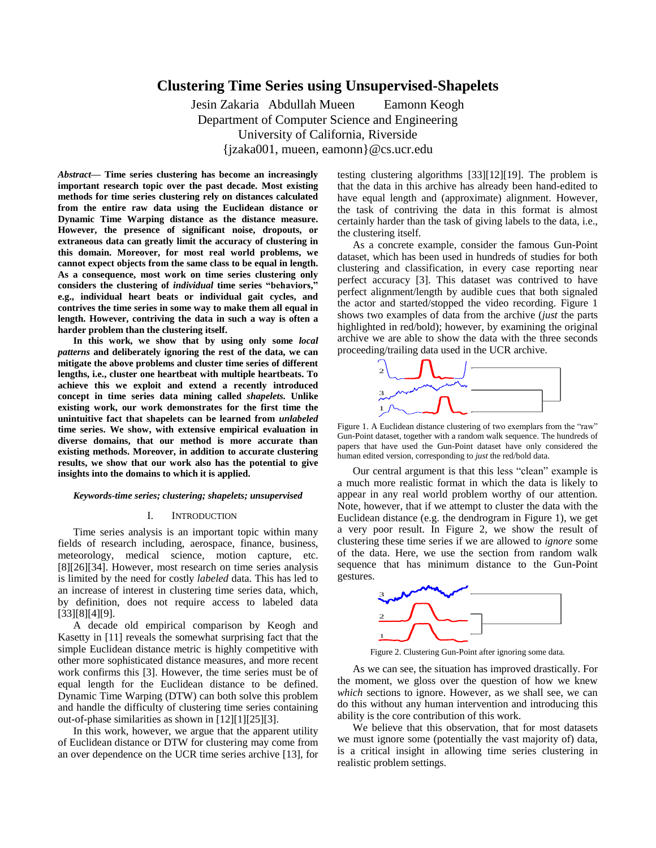# **Clustering Time Series using Unsupervised-Shapelets**

Jesin Zakaria Abdullah Mueen Eamonn Keogh Department of Computer Science and Engineering University of California, Riverside {jzaka001, mueen, eamonn}@cs.ucr.edu

*Abstract—* **Time series clustering has become an increasingly important research topic over the past decade. Most existing methods for time series clustering rely on distances calculated from the entire raw data using the Euclidean distance or Dynamic Time Warping distance as the distance measure. However, the presence of significant noise, dropouts, or extraneous data can greatly limit the accuracy of clustering in this domain. Moreover, for most real world problems, we cannot expect objects from the same class to be equal in length. As a consequence, most work on time series clustering only considers the clustering of** *individual* **time series "behaviors," e.g., individual heart beats or individual gait cycles, and contrives the time series in some way to make them all equal in length. However, contriving the data in such a way is often a harder problem than the clustering itself.**

**In this work, we show that by using only some** *local patterns* **and deliberately ignoring the rest of the data, we can mitigate the above problems and cluster time series of different lengths, i.e., cluster one heartbeat with multiple heartbeats. To achieve this we exploit and extend a recently introduced concept in time series data mining called** *shapelets.* **Unlike existing work, our work demonstrates for the first time the unintuitive fact that shapelets can be learned from** *unlabeled*  **time series. We show, with extensive empirical evaluation in diverse domains, that our method is more accurate than existing methods. Moreover, in addition to accurate clustering results, we show that our work also has the potential to give insights into the domains to which it is applied.**

#### *Keywords-time series; clustering; shapelets; unsupervised*

#### I. INTRODUCTION

Time series analysis is an important topic within many fields of research including, aerospace, finance, business, meteorology, medical science, motion capture, etc. [\[8\]\[26\]](#page-9-0)[\[34\].](#page-9-1) However, most research on time series analysis is limited by the need for costly *labeled* data. This has led to an increase of interest in clustering time series data, which, by definition, does not require access to labeled data [\[33\]\[8\]](#page-9-2)[\[4\]\[9\].](#page-9-3)

A decade old empirical comparison by Keogh and Kasetty in [\[11\]](#page-9-4) reveals the somewhat surprising fact that the simple Euclidean distance metric is highly competitive with other more sophisticated distance measures, and more recent work confirms this [\[3\].](#page-9-5) However, the time series must be of equal length for the Euclidean distance to be defined. Dynamic Time Warping (DTW) can both solve this problem and handle the difficulty of clustering time series containing out-of-phase similarities as shown in [\[12\]\[1\]](#page-9-6)[\[25\]\[3\].](#page-9-7)

In this work, however, we argue that the apparent utility of Euclidean distance or DTW for clustering may come from an over dependence on the UCR time series archive [\[13\],](#page-9-8) for

testing clustering algorithms [\[33\]\[12\]](#page-9-2)[\[19\].](#page-9-9) The problem is that the data in this archive has already been hand-edited to have equal length and (approximate) alignment. However, the task of contriving the data in this format is almost certainly harder than the task of giving labels to the data, i.e., the clustering itself.

As a concrete example, consider the famous Gun-Point dataset, which has been used in hundreds of studies for both clustering and classification, in every case reporting near perfect accuracy [\[3\].](#page-9-5) This dataset was contrived to have perfect alignment/length by audible cues that both signaled the actor and started/stopped the video recording. [Figure 1](#page-0-0) shows two examples of data from the archive (*just* the parts highlighted in red/bold); however, by examining the original archive we are able to show the data with the three seconds proceeding/trailing data used in the UCR archive.



<span id="page-0-0"></span>Figure 1. A Euclidean distance clustering of two exemplars from the "raw" Gun-Point dataset, together with a random walk sequence. The hundreds of papers that have used the Gun-Point dataset have only considered the human edited version, corresponding to *just* the red/bold data.

Our central argument is that this less "clean" example is a much more realistic format in which the data is likely to appear in any real world problem worthy of our attention. Note, however, that if we attempt to cluster the data with the Euclidean distance (e.g. the dendrogram in [Figure 1\)](#page-0-0), we get a very poor result. In [Figure 2,](#page-0-1) we show the result of clustering these time series if we are allowed to *ignore* some of the data. Here, we use the section from random walk sequence that has minimum distance to the Gun-Point gestures.



Figure 2. Clustering Gun-Point after ignoring some data.

<span id="page-0-1"></span>As we can see, the situation has improved drastically. For the moment, we gloss over the question of how we knew *which* sections to ignore. However, as we shall see, we can do this without any human intervention and introducing this ability is the core contribution of this work.

We believe that this observation, that for most datasets we must ignore some (potentially the vast majority of) data, is a critical insight in allowing time series clustering in realistic problem settings.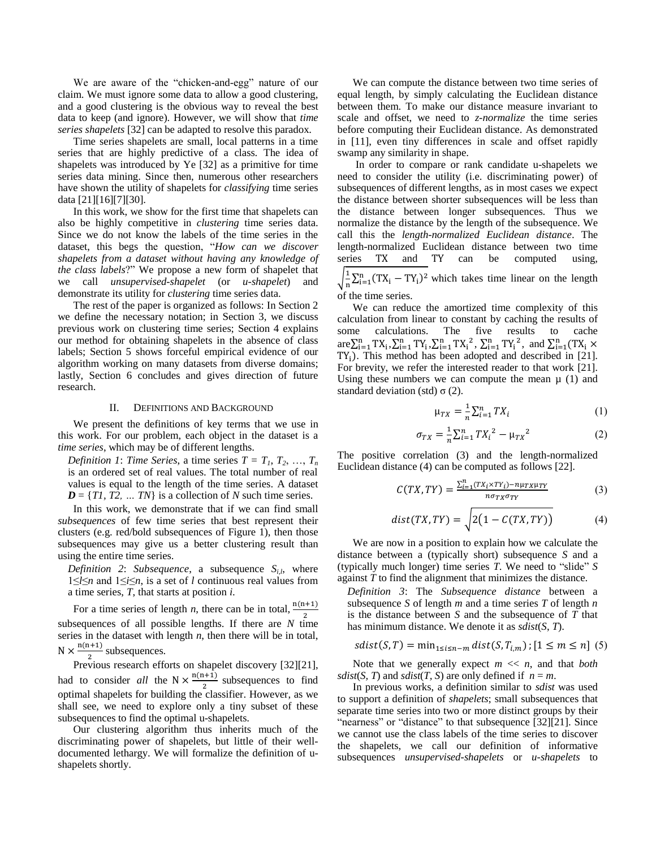We are aware of the "chicken-and-egg" nature of our claim. We must ignore some data to allow a good clustering, and a good clustering is the obvious way to reveal the best data to keep (and ignore). However, we will show that *time series shapelets* [\[32\]](#page-9-10) can be adapted to resolve this paradox.

Time series shapelets are small, local patterns in a time series that are highly predictive of a class. The idea of shapelets was introduced by Ye [\[32\]](#page-9-10) as a primitive for time series data mining. Since then, numerous other researchers have shown the utility of shapelets for *classifying* time series data [\[21\]\[16\]](#page-9-11)[\[7\]\[30\].](#page-9-12)

In this work, we show for the first time that shapelets can also be highly competitive in *clustering* time series data. Since we do not know the labels of the time series in the dataset, this begs the question, "*How can we discover shapelets from a dataset without having any knowledge of the class labels*?" We propose a new form of shapelet that we call *unsupervised-shapelet* (or *u-shapelet*) and demonstrate its utility for *clustering* time series data.

The rest of the paper is organized as follows: In Section 2 we define the necessary notation; in Section 3, we discuss previous work on clustering time series; Section 4 explains our method for obtaining shapelets in the absence of class labels; Section 5 shows forceful empirical evidence of our algorithm working on many datasets from diverse domains; lastly, Section 6 concludes and gives direction of future research.

## II. DEFINITIONS AND BACKGROUND

We present the definitions of key terms that we use in this work. For our problem, each object in the dataset is a *time series*, which may be of different lengths.

*Definition 1: Time Series*, a time series  $T = T_1, T_2, \ldots, T_n$ is an ordered set of real values. The total number of real values is equal to the length of the time series. A dataset  $D = \{T1, T2, \dots TN\}$  is a collection of *N* such time series.

In this work, we demonstrate that if we can find small *subsequences* of few time series that best represent their clusters (e.g. red/bold subsequences of [Figure 1\)](#page-0-0), then those subsequences may give us a better clustering result than using the entire time series.

*Definition* 2: *Subsequence*, a subsequence  $S_{i,l}$ , where 1≤*l*≤*n* and 1≤*i*≤*n*, is a set of *l* continuous real values from a time series, *T*, that starts at position *i*.

For a time series of length *n*, there can be in total,  $\frac{n(n+1)}{2}$ subsequences of all possible lengths. If there are *N* time series in the dataset with length *n*, then there will be in total,  $N \times \frac{n}{2}$  $\frac{1+1}{2}$  subsequences.

Previous research efforts on shapelet discovery [\[32\]\[21\],](#page-9-10) had to consider *all* the  $N \times \frac{N}{2}$  $\frac{1}{2}$  subsequences to find optimal shapelets for building the classifier. However, as we shall see, we need to explore only a tiny subset of these subsequences to find the optimal u-shapelets.

Our clustering algorithm thus inherits much of the discriminating power of shapelets, but little of their welldocumented lethargy. We will formalize the definition of ushapelets shortly.

We can compute the distance between two time series of equal length, by simply calculating the Euclidean distance between them. To make our distance measure invariant to scale and offset, we need to *z-normalize* the time series before computing their Euclidean distance. As demonstrated in [\[11\],](#page-9-4) even tiny differences in scale and offset rapidly swamp any similarity in shape.

In order to compare or rank candidate u-shapelets we need to consider the utility (i.e. discriminating power) of subsequences of different lengths, as in most cases we expect the distance between shorter subsequences will be less than the distance between longer subsequences. Thus we normalize the distance by the length of the subsequence. We call this the *length-normalized Euclidean distance*. The length-normalized Euclidean distance between two time series TX and TY can be computed using,

 $\frac{1}{2}$  $\frac{1}{n}\sum_{i=1}^{n}(TX_i - TY_i)^2$  which takes time linear on the length of the time series.

We can reduce the amortized time complexity of this calculation from linear to constant by caching the results of some calculations. The five results to cache are  $\sum_{i=1}^{n} TX_i$ ,  $\sum_{i=1}^{n} TY_i$ ,  $\sum_{i=1}^{n} TX_i^2$ ,  $\sum_{i=1}^{n} TY_i^2$ , and  $\sum_{i=1}^{n} (X_i - Y_i^2)$  $TY_i$ ). This method has been adopted and described in [\[21\].](#page-9-11) For brevity, we refer the interested reader to that work [\[21\].](#page-9-11) Using these numbers we can compute the mean  $\mu$  (1) and standard deviation (std)  $\sigma$  (2).

$$
\mu_{TX} = \frac{1}{n} \sum_{i=1}^{n} TX_i \tag{1}
$$

$$
\sigma_{TX} = \frac{1}{n} \sum_{i=1}^{n} T X_i^2 - \mu_{TX}^2 \tag{2}
$$

The positive correlation (3) and the length-normalized Euclidean distance (4) can be computed as follows [\[22\].](#page-9-13)

$$
C(TX, TY) = \frac{\sum_{i=1}^{n} (TX_i \times TY_i) - n\mu_{TX}\mu_{TY}}{n\sigma_{TX}\sigma_{TY}}
$$
(3)

$$
dist(TX, TY) = \sqrt{2(1 - C(TX, TY))}
$$
\n(4)

We are now in a position to explain how we calculate the distance between a (typically short) subsequence *S* and a (typically much longer) time series *T*. We need to "slide" *S* against *T* to find the alignment that minimizes the distance.

*Definition 3*: The *Subsequence distance* between a subsequence *S* of length *m* and a time series *T* of length *n* is the distance between *S* and the subsequence of *T* that has minimum distance. We denote it as *sdist*(*S*, *T*).

$$
sdist(S,T) = \min_{1 \le i \le n-m} dist(S, T_{i,m}) ; [1 \le m \le n] (5)
$$

Note that we generally expect *m* << *n*, and that *both sdist*(*S, T*) and *sdist*(*T, S*) are only defined if  $n = m$ .

In previous works, a definition similar to *sdist* was used to support a definition of *shapelets*; small subsequences that separate time series into two or more distinct groups by their "nearness" or "distance" to that subsequence [\[32\]\[21\].](#page-9-10) Since we cannot use the class labels of the time series to discover the shapelets, we call our definition of informative subsequences *unsupervised-shapelets* or *u-shapelets* to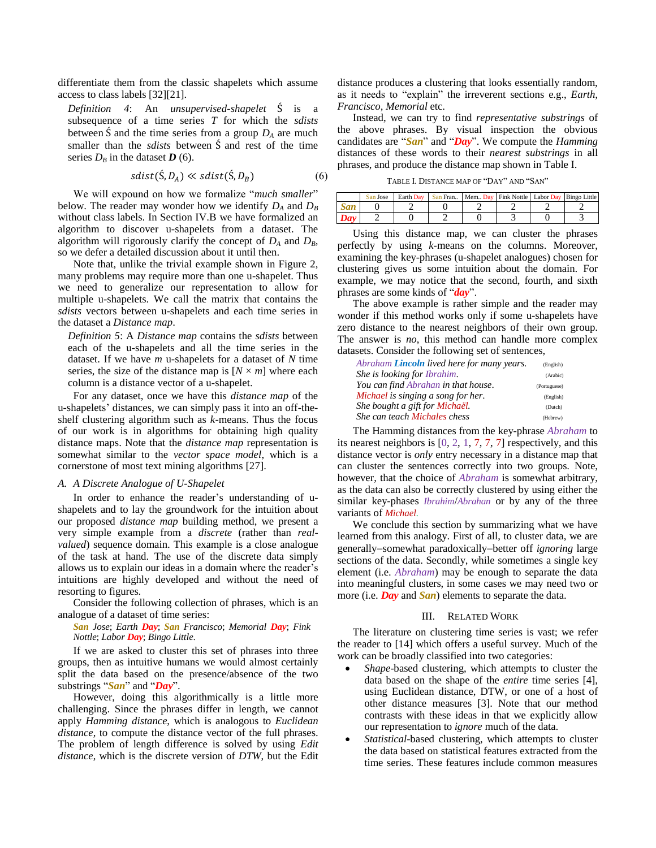differentiate them from the classic shapelets which assume access to class labels [\[32\]\[21\].](#page-9-10)

*Definition 4*: An *unsupervised-shapelet* S is a subsequence of a time series *T* for which the *sdists* between  $\hat{S}$  and the time series from a group  $D_A$  are much smaller than the *sdists* between  $\hat{S}$  and rest of the time series  $D_B$  in the dataset  $\bm{D}$  (6).

$$
sdist(\hat{S}, D_A) \ll sdist(\hat{S}, D_B)
$$
 (6)

We will expound on how we formalize "*much smaller*" below. The reader may wonder how we identify  $D_A$  and  $D_B$ without class labels. In Section [IV.B](#page-3-0) we have formalized an algorithm to discover u-shapelets from a dataset. The algorithm will rigorously clarify the concept of  $D_A$  and  $D_B$ , so we defer a detailed discussion about it until then.

Note that, unlike the trivial example shown in [Figure 2,](#page-0-1) many problems may require more than one u-shapelet. Thus we need to generalize our representation to allow for multiple u-shapelets. We call the matrix that contains the *sdists* vectors between u-shapelets and each time series in the dataset a *Distance map*.

*Definition 5*: A *Distance map* contains the *sdists* between each of the u-shapelets and all the time series in the dataset. If we have *m* u-shapelets for a dataset of *N* time series, the size of the distance map is  $[N \times m]$  where each column is a distance vector of a u-shapelet.

For any dataset, once we have this *distance map* of the u-shapelets' distances, we can simply pass it into an off-theshelf clustering algorithm such as *k*-means. Thus the focus of our work is in algorithms for obtaining high quality distance maps. Note that the *distance map* representation is somewhat similar to the *vector space model*, which is a cornerstone of most text mining algorithms [\[27\].](#page-9-14)

## <span id="page-2-1"></span>*A. A Discrete Analogue of U-Shapelet*

In order to enhance the reader's understanding of ushapelets and to lay the groundwork for the intuition about our proposed *distance map* building method, we present a very simple example from a *discrete* (rather than *realvalued*) sequence domain. This example is a close analogue of the task at hand. The use of the discrete data simply allows us to explain our ideas in a domain where the reader's intuitions are highly developed and without the need of resorting to figures.

Consider the following collection of phrases, which is an analogue of a dataset of time series:

## *San Jose*; *Earth Day*; *San Francisco*; *Memorial Day*; *Fink Nottle*; *Labor Day*; *Bingo Little*.

If we are asked to cluster this set of phrases into three groups, then as intuitive humans we would almost certainly split the data based on the presence/absence of the two substrings "*San*" and "*Day*".

However, doing this algorithmically is a little more challenging. Since the phrases differ in length, we cannot apply *Hamming distance*, which is analogous to *Euclidean distance*, to compute the distance vector of the full phrases. The problem of length difference is solved by using *Edit distance*, which is the discrete version of *DTW*, but the Edit distance produces a clustering that looks essentially random, as it needs to "explain" the irreverent sections e.g., *Earth, Francisco, Memorial* etc.

Instead, we can try to find *representative substrings* of the above phrases. By visual inspection the obvious candidates are "*San*" and "*Day*". We compute the *Hamming* distances of these words to their *nearest substrings* in all phrases, and produce the distance map shown in [Table I.](#page-2-0)

TABLE I. DISTANCE MAP OF "DAY" AND "SAN"

<span id="page-2-0"></span>

|     | San Jose | Earth Dav | San Fran |  | Mem. Day Fink Nottle Labor Day Bingo Little |
|-----|----------|-----------|----------|--|---------------------------------------------|
|     |          |           |          |  |                                             |
| Dav |          |           |          |  |                                             |

Using this distance map, we can cluster the phrases perfectly by using *k*-means on the columns. Moreover, examining the key-phrases (u-shapelet analogues) chosen for clustering gives us some intuition about the domain. For example, we may notice that the second, fourth, and sixth phrases are some kinds of "*day*".

The above example is rather simple and the reader may wonder if this method works only if some u-shapelets have zero distance to the nearest neighbors of their own group. The answer is *no*, this method can handle more complex datasets. Consider the following set of sentences,

| Abraham Lincoln lived here for many years. | (English)    |
|--------------------------------------------|--------------|
| She is looking for Ibrahim.                | (Arabic)     |
| You can find Abrahan in that house.        | (Portuguese) |
| Michael is singing a song for her.         | (English)    |
| She bought a gift for Michaël.             | (Dutch)      |
| She can teach Michales chess               | (Hebrew)     |

The Hamming distances from the key-phrase *Abraham* to its nearest neighbors is [0, 2, 1, 7, 7, 7] respectively, and this distance vector is *only* entry necessary in a distance map that can cluster the sentences correctly into two groups. Note, however, that the choice of *Abraham* is somewhat arbitrary, as the data can also be correctly clustered by using either the similar key-phases *Ibrahim*/*Abrahan* or by any of the three variants of *Michael.*

We conclude this section by summarizing what we have learned from this analogy. First of all, to cluster data, we are generally-somewhat paradoxically-better off *ignoring* large sections of the data. Secondly, while sometimes a single key element (i.e. *Abraham*) may be enough to separate the data into meaningful clusters, in some cases we may need two or more (i.e. *Day* and *San*) elements to separate the data.

## III. RELATED WORK

The literature on clustering time series is vast; we refer the reader to [\[14\]](#page-9-15) which offers a useful survey. Much of the work can be broadly classified into two categories:

- *Shape*-based clustering, which attempts to cluster the data based on the shape of the *entire* time series [\[4\],](#page-9-3) using Euclidean distance, DTW, or one of a host of other distance measures [\[3\].](#page-9-5) Note that our method contrasts with these ideas in that we explicitly allow our representation to *ignore* much of the data.
- *Statistical*-based clustering, which attempts to cluster the data based on statistical features extracted from the time series. These features include common measures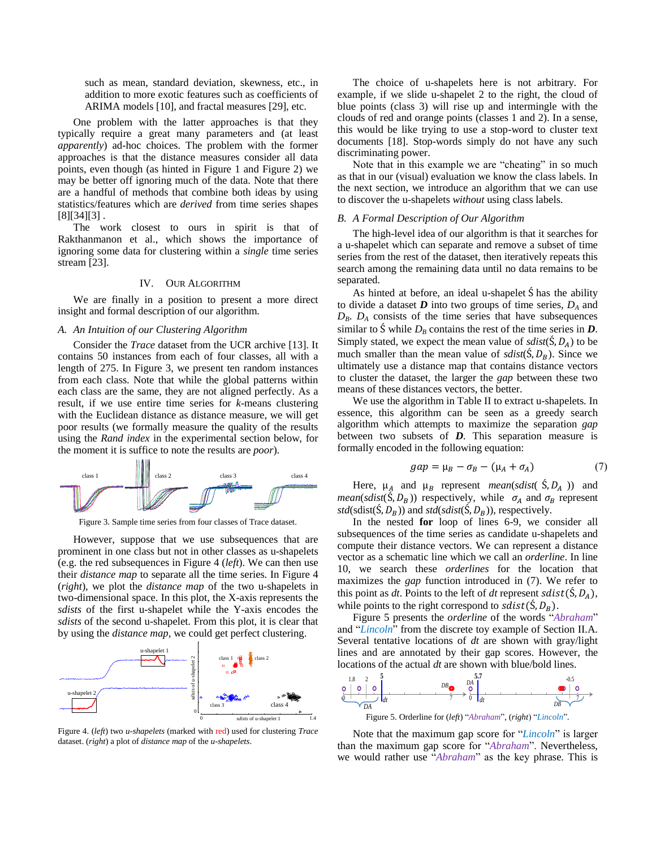such as mean, standard deviation, skewness, etc., in addition to more exotic features such as coefficients of ARIMA models [\[10\],](#page-9-16) and fractal measures [\[29\],](#page-9-17) etc.

One problem with the latter approaches is that they typically require a great many parameters and (at least *apparently*) ad-hoc choices. The problem with the former approaches is that the distance measures consider all data points, even though (as hinted in [Figure 1](#page-0-0) and [Figure 2\)](#page-0-1) we may be better off ignoring much of the data. Note that there are a handful of methods that combine both ideas by using statistics/features which are *derived* from time series shapes [\[8\]\[34\]](#page-9-0)[\[3\]](#page-9-5) .

The work closest to ours in spirit is that of Rakthanmanon et al., which shows the importance of ignoring some data for clustering within a *single* time series stream [\[23\].](#page-9-18)

## IV. OUR ALGORITHM

We are finally in a position to present a more direct insight and formal description of our algorithm.

#### *A. An Intuition of our Clustering Algorithm*

Consider the *Trace* dataset from the UCR archive [\[13\].](#page-9-8) It contains 50 instances from each of four classes, all with a length of 275. In [Figure 3,](#page-3-1) we present ten random instances from each class. Note that while the global patterns within each class are the same, they are not aligned perfectly. As a result, if we use entire time series for *k*-means clustering with the Euclidean distance as distance measure, we will get poor results (we formally measure the quality of the results using the *Rand index* in the experimental section below, for the moment it is suffice to note the results are *poor*).



Figure 3. Sample time series from four classes of Trace dataset.

<span id="page-3-1"></span>However, suppose that we use subsequences that are prominent in one class but not in other classes as u-shapelets (e.g. the red subsequences in [Figure 4](#page-3-2) (*left*). We can then use their *distance map* to separate all the time series. In [Figure 4](#page-3-2) (*right*), we plot the *distance map* of the two u-shapelets in two-dimensional space. In this plot, the X-axis represents the *sdists* of the first u-shapelet while the Y-axis encodes the *sdists* of the second u-shapelet. From this plot, it is clear that by using the *distance map*, we could get perfect clustering.



<span id="page-3-2"></span>Figure 4. (*left*) two *u-shapelets* (marked with red) used for clustering *Trace* dataset. (*right*) a plot of *distance map* of the *u-shapelets*.

The choice of u-shapelets here is not arbitrary. For example, if we slide u-shapelet 2 to the right, the cloud of blue points (class 3) will rise up and intermingle with the clouds of red and orange points (classes 1 and 2). In a sense, this would be like trying to use a stop-word to cluster text documents [\[18\].](#page-9-19) Stop-words simply do not have any such discriminating power.

Note that in this example we are "cheating" in so much as that in our (visual) evaluation we know the class labels. In the next section, we introduce an algorithm that we can use to discover the u-shapelets *without* using class labels.

## <span id="page-3-0"></span>*B. A Formal Description of Our Algorithm*

The high-level idea of our algorithm is that it searches for a u-shapelet which can separate and remove a subset of time series from the rest of the dataset, then iteratively repeats this search among the remaining data until no data remains to be separated.

As hinted at before, an ideal u-shapelet S has the ability to divide a dataset  $D$  into two groups of time series,  $D_A$  and  $D_B$ .  $D_A$  consists of the time series that have subsequences similar to  $\acute{S}$  while  $D_B$  contains the rest of the time series in  $\bm{D}$ . Simply stated, we expect the mean value of  $sdist(\hat{S}, D_A)$  to be much smaller than the mean value of  $sdist(\hat{S}, D_R)$ . Since we ultimately use a distance map that contains distance vectors to cluster the dataset, the larger the *gap* between these two means of these distances vectors, the better.

We use the algorithm in [Table II](#page-4-0) to extract u-shapelets. In essence, this algorithm can be seen as a greedy search algorithm which attempts to maximize the separation *gap* between two subsets of *D*. This separation measure is formally encoded in the following equation:

$$
gap = \mu_B - \sigma_B - (\mu_A + \sigma_A) \tag{7}
$$

Here,  $\mu_A$  and  $\mu_B$  represent *mean*(*sdist*(  $\dot{S}$ ,  $D_A$  )) and *mean*(*sdist*( $\hat{S}$ ,  $D_B$ )) respectively, while  $\sigma_A$  and  $\sigma_B$  represent *std*(sdist( $\hat{S}, D_B$ )) and *std*(*sdist*( $\hat{S}, D_B$ )), respectively.

In the nested **for** loop of lines 6-9, we consider all subsequences of the time series as candidate u-shapelets and compute their distance vectors. We can represent a distance vector as a schematic line which we call an *orderline*. In line 10, we search these *orderlines* for the location that maximizes the *gap* function introduced in (7). We refer to this point as *dt*. Points to the left of *dt* represent sdist( $\hat{S}$ ,  $D_A$ ), while points to the right correspond to  $sdist(\hat{S}, D_B)$ .

[Figure 5](#page-3-3) presents the *orderline* of the words "*Abraham*" and "*Lincoln*" from the discrete toy example of Section [II.A.](#page-2-1) Several tentative locations of *dt* are shown with gray/light lines and are annotated by their gap scores. However, the locations of the actual *dt* are shown with blue/bold lines.



<span id="page-3-3"></span>Note that the maximum gap score for "*Lincoln*" is larger than the maximum gap score for "*Abraham*". Nevertheless, we would rather use "*Abraham*" as the key phrase. This is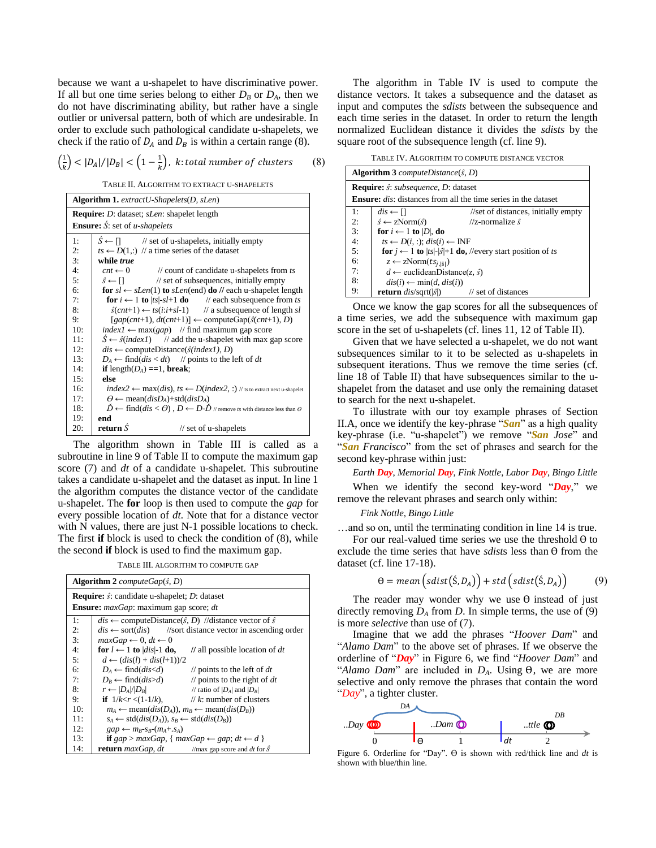because we want a u-shapelet to have discriminative power. If all but one time series belong to either  $D_B$  or  $D_A$ , then we do not have discriminating ability, but rather have a single outlier or universal pattern, both of which are undesirable. In order to exclude such pathological candidate u-shapelets, we check if the ratio of  $D_A$  and  $D_B$  is within a certain range (8).

<span id="page-4-0"></span>

|  | $\left(\frac{1}{k}\right)$ < $ D_A / D_B $ < $\left(1-\frac{1}{k}\right)$ , k: total number of clusters (8) |  |
|--|-------------------------------------------------------------------------------------------------------------|--|
|--|-------------------------------------------------------------------------------------------------------------|--|

TABLE II. ALGORITHM TO EXTRACT U-SHAPELETS

| <b>Algorithm 1.</b> extractU-Shapelets(D, sLen) |                                                                                                                               |  |  |  |
|-------------------------------------------------|-------------------------------------------------------------------------------------------------------------------------------|--|--|--|
|                                                 | <b>Require:</b> <i>D</i> : dataset; <i>sLen</i> : shapelet length                                                             |  |  |  |
|                                                 | <b>Ensure:</b> $\acute{S}$ : set of <i>u</i> -shapelets                                                                       |  |  |  |
| 1:                                              | $S \leftarrow \lceil \cdot \rceil$ // set of u-shapelets, initially empty                                                     |  |  |  |
| 2:                                              | $ts \leftarrow D(1,.)$ // a time series of the dataset                                                                        |  |  |  |
| 3:                                              | while true                                                                                                                    |  |  |  |
| 4:                                              | $cnt \leftarrow 0$ // count of candidate u-shapelets from ts                                                                  |  |  |  |
| 5:                                              | $\hat{s} \leftarrow \begin{bmatrix} \cdot \\ \cdot \end{bmatrix}$ // set of subsequences, initially empty                     |  |  |  |
| 6:                                              | for $sl \leftarrow slen(1)$ to $slen$ (end) do // each u-shapelet length                                                      |  |  |  |
| 7:                                              | for $i \leftarrow 1$ to  ts -sl+1 do // each subsequence from ts                                                              |  |  |  |
| 8:                                              | $\hat{s}(cnt+1) \leftarrow ts(i:i+sl-1)$ // a subsequence of length sl                                                        |  |  |  |
| 9:                                              | $[gap(cnt+1), dt(cnt+1)] \leftarrow computeGap(\hat{s}(cnt+1), D)$                                                            |  |  |  |
| 10:                                             | $index1 \leftarrow max(gap)$ // find maximum gap score                                                                        |  |  |  |
| 11:                                             | $\hat{S} \leftarrow \hat{s}(\text{index1})$ // add the u-shapelet with max gap score                                          |  |  |  |
| 12:                                             | $dis \leftarrow computeDistance(\hat{s}(index1), D)$                                                                          |  |  |  |
| 13:                                             | $D_A \leftarrow \text{find}(dis < dt)$ // points to the left of dt                                                            |  |  |  |
| 14:                                             | <b>if</b> length( $D_A$ ) ==1, <b>break</b> ;                                                                                 |  |  |  |
| 15:                                             | else                                                                                                                          |  |  |  |
| 16:                                             | $index2 \leftarrow max(dis), ts \leftarrow D(index2, :)$ // is to extract next u-shapelet                                     |  |  |  |
| 17 <sup>·</sup>                                 | $\theta \leftarrow \text{mean}(disD_A) + \text{std}(disD_A)$                                                                  |  |  |  |
| 18:                                             | $\dot{D} \leftarrow \text{find}(dis < \Theta)$ , $D \leftarrow D \cdot \dot{D}$ // remove ts with distance less than $\theta$ |  |  |  |
| 19:                                             | end                                                                                                                           |  |  |  |
| 20:                                             | return $\dot{S}$<br>$\frac{1}{2}$ set of u-shapelets                                                                          |  |  |  |

The algorithm shown in [Table III](#page-4-1) is called as a subroutine in line 9 of [Table II](#page-4-0) to compute the maximum gap score (7) and *dt* of a candidate u-shapelet. This subroutine takes a candidate u-shapelet and the dataset as input. In line 1 the algorithm computes the distance vector of the candidate u-shapelet. The **for** loop is then used to compute the *gap* for every possible location of *dt*. Note that for a distance vector with N values, there are just N-1 possible locations to check. The first **if** block is used to check the condition of (8), while the second **if** block is used to find the maximum gap.

TABLE III. ALGORITHM TO COMPUTE GAP

<span id="page-4-1"></span>

|     | <b>Algorithm 2</b> compute $Gap(\hat{s}, D)$                                    |                                                                    |  |  |  |
|-----|---------------------------------------------------------------------------------|--------------------------------------------------------------------|--|--|--|
|     | <b>Require:</b> $\hat{s}$ : candidate u-shapelet; <i>D</i> : dataset            |                                                                    |  |  |  |
|     | <b>Ensure:</b> $maxGap$ : maximum gap score; $dt$                               |                                                                    |  |  |  |
| 1:  | $dis \leftarrow$ computeDistance( $\hat{s}$ , D) //distance vector of $\hat{s}$ |                                                                    |  |  |  |
| 2:  | $dis \leftarrow sort(dis)$ //sort distance vector in ascending order            |                                                                    |  |  |  |
| 3:  | $maxGap \leftarrow 0, dt \leftarrow 0$                                          |                                                                    |  |  |  |
| 4:  | for $l \leftarrow 1$ to $ dis $ -1 do,                                          | $\ell$ all possible location of dt                                 |  |  |  |
| 5:  | $d \leftarrow (dis(l) + dis(l+1))/2$                                            |                                                                    |  |  |  |
| 6:  | $D_4 \leftarrow \text{find}(dis \leq d)$                                        | $\frac{1}{2}$ points to the left of dt                             |  |  |  |
| 7:  |                                                                                 | $D_B \leftarrow \text{find}(dis > d)$ // points to the right of dt |  |  |  |
| 8:  | $r \leftarrow  D_A / D_B $                                                      | // ratio of $ D_4 $ and $ D_8 $                                    |  |  |  |
| 9:  | if $1/k < r < (1-1/k)$ , //k: number of clusters                                |                                                                    |  |  |  |
| 10: | $m_A \leftarrow \text{mean}(dis(D_A)), m_B \leftarrow \text{mean}(dis(D_B))$    |                                                                    |  |  |  |
| 11: | $s_A \leftarrow std(dis(D_A)), s_B \leftarrow std(dis(D_B))$                    |                                                                    |  |  |  |
| 12: | $gap \leftarrow m_B - s_B - (m_A + . s_A)$                                      |                                                                    |  |  |  |
| 13: | <b>if</b> gap > maxGap, { maxGap $\leftarrow$ gap; dt $\leftarrow$ d }          |                                                                    |  |  |  |
| 14: | return maxGap, dt                                                               | //max gap score and dt for $\hat{s}$                               |  |  |  |

The algorithm in [Table IV](#page-4-2) is used to compute the distance vectors. It takes a subsequence and the dataset as input and computes the *sdists* between the subsequence and each time series in the dataset. In order to return the length normalized Euclidean distance it divides the *sdists* by the square root of the subsequence length (cf. line 9).

TABLE IV. ALGORITHM TO COMPUTE DISTANCE VECTOR

<span id="page-4-2"></span>

|                                                                       | <b>Algorithm 3</b> compute Distance( $\hat{s}$ , D)                              |  |  |  |
|-----------------------------------------------------------------------|----------------------------------------------------------------------------------|--|--|--|
|                                                                       | <b>Require:</b> $\hat{s}$ : <i>subsequence</i> , <i>D</i> : dataset              |  |  |  |
| <b>Ensure:</b> dis: distances from all the time series in the dataset |                                                                                  |  |  |  |
| 1:                                                                    | //set of distances, initially empty<br>$dis \leftarrow \Box$                     |  |  |  |
| 2:                                                                    | $\hat{s} \leftarrow zNorm(\hat{s})$<br>//z-normalize $\hat{s}$                   |  |  |  |
| 3:                                                                    | for $i \leftarrow 1$ to  D , do                                                  |  |  |  |
| 4:                                                                    | $ts \leftarrow D(i,:); dis(i) \leftarrow \text{INF}$                             |  |  |  |
| 5:                                                                    | for $i \leftarrow 1$ to $ ts $ - $ \hat{s} $ +1 do, //every start position of ts |  |  |  |
| 6:                                                                    | $z \leftarrow zNorm(ts_{i,  \hat{s} })$                                          |  |  |  |
| 7:                                                                    | $d \leftarrow$ euclideanDistance(z, $\hat{s}$ )                                  |  |  |  |
| 8:                                                                    | $dis(i) \leftarrow min(d, dis(i))$                                               |  |  |  |
| 9:                                                                    | // set of distances<br><b>return</b> $dis/sqrt( \hat{s} )$                       |  |  |  |

Once we know the gap scores for all the subsequences of a time series, we add the subsequence with maximum gap score in the set of u-shapelets (cf. lines 11, 12 o[f Table II\)](#page-4-0).

Given that we have selected a u-shapelet, we do not want subsequences similar to it to be selected as u-shapelets in subsequent iterations. Thus we remove the time series (cf. line 18 of [Table II\)](#page-4-0) that have subsequences similar to the ushapelet from the dataset and use only the remaining dataset to search for the next u-shapelet.

To illustrate with our toy example phrases of Section [II.A,](#page-2-1) once we identify the key-phrase "*San*" as a high quality key-phrase (i.e. "u-shapelet") we remove "*San Jose*" and "*San Francisco*" from the set of phrases and search for the second key-phrase within just:

*Earth Day*, *Memorial Day*, *Fink Nottle*, *Labor Day*, *Bingo Little*

When we identify the second key-word "*Day*," we remove the relevant phrases and search only within:

*Fink Nottle*, *Bingo Little*

…and so on, until the terminating condition in line 14 is true.

For our real-valued time series we use the threshold  $\theta$  to exclude the time series that have *sdists* less than  $\theta$  from the dataset (cf. line 17-18).

$$
\Theta = mean\left(sdist(\hat{S}, D_A)\right) + std\left(sdist(\hat{S}, D_A)\right) \tag{9}
$$

The reader may wonder why we use  $\theta$  instead of just directly removing  $D_A$  from  $D$ . In simple terms, the use of (9) is more *selective* than use of (7).

Imagine that we add the phrases "*Hoover Dam*" and "*Alamo Dam*" to the above set of phrases. If we observe the orderline of "*Day*" in [Figure 6,](#page-4-3) we find "*Hoover Dam*" and "*Alamo Dam*" are included in  $D_A$ . Using  $\theta$ , we are more selective and only remove the phrases that contain the word "*Day*", a tighter cluster.



<span id="page-4-3"></span>Figure 6. Orderline for "Day".  $\Theta$  is shown with red/thick line and *dt* is shown with blue/thin line.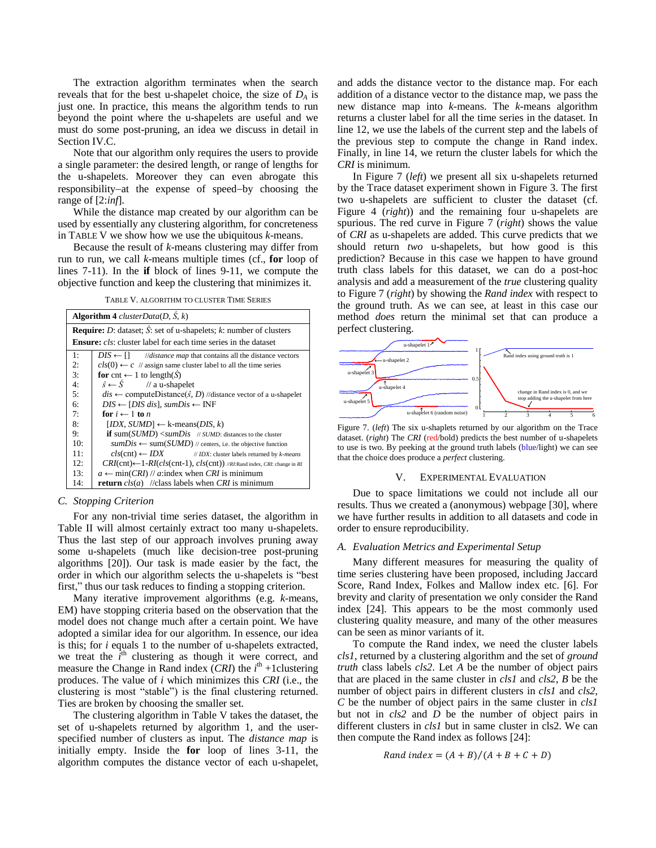The extraction algorithm terminates when the search reveals that for the best u-shapelet choice, the size of *D<sup>A</sup>* is just one. In practice, this means the algorithm tends to run beyond the point where the u-shapelets are useful and we must do some post-pruning, an idea we discuss in detail in Section [IV.C.](#page-5-0)

Note that our algorithm only requires the users to provide a single parameter: the desired length, or range of lengths for the u-shapelets. Moreover they can even abrogate this responsibility-at the expense of speed-by choosing the range of [2:*inf*].

While the distance map created by our algorithm can be used by essentially any clustering algorithm, for concreteness in T[ABLE](#page-5-1) V we show how we use the ubiquitous *k*-means.

Because the result of *k*-means clustering may differ from run to run, we call *k*-means multiple times (cf., **for** loop of lines 7-11). In the **if** block of lines 9-11, we compute the objective function and keep the clustering that minimizes it.

TABLE V. ALGORITHM TO CLUSTER TIME SERIES

<span id="page-5-1"></span>

|     | <b>Algorithm 4</b> cluster Data(D, $\dot{S}$ , $k$ )                                                              |  |  |  |
|-----|-------------------------------------------------------------------------------------------------------------------|--|--|--|
|     | <b>Require:</b> <i>D</i> : dataset; <i>S</i> : set of u-shapelets; $k$ : number of clusters                       |  |  |  |
|     | <b>Ensure:</b> cls: cluster label for each time series in the dataset                                             |  |  |  |
| 1:  | $DIS \leftarrow []$ // <i>distance map</i> that contains all the distance vectors                                 |  |  |  |
| 2:  | $cls(0) \leftarrow c$ // assign same cluster label to all the time series                                         |  |  |  |
| 3:  | for cnt $\leftarrow$ 1 to length(S)                                                                               |  |  |  |
| 4:  | $\hat{s} \leftarrow \hat{S}$ // a u-shapelet                                                                      |  |  |  |
| 5:  | $dis \leftarrow computeDistance(\hat{s}, D)$ //distance vector of a u-shapelet                                    |  |  |  |
| 6:  | $DIS \leftarrow [DIS \, dis], \, sumDis \leftarrow INF$                                                           |  |  |  |
| 7:  | for $i \leftarrow 1$ to n                                                                                         |  |  |  |
| 8:  | $[IDX, SUMD] \leftarrow k-means(DIS, k)$                                                                          |  |  |  |
| 9:  | <b>if</b> sum( $SUMD$ ) < <i>sumDis</i> // <i>sUMD</i> : distances to the cluster                                 |  |  |  |
| 10: | $sumDis \leftarrow sum(SUND)$ // centers, i.e. the objective function                                             |  |  |  |
| 11: | $cls(cnt) \leftarrow IDX$ // IDX: cluster labels returned by k-means                                              |  |  |  |
| 12: | $CRI(\text{cnt}) \leftarrow 1 - RI(cls(\text{cnt-1}), \text{cls}(\text{cnt}))$ //RI:Rand index, CRI: change in RI |  |  |  |
| 13: | $a \leftarrow min(CRI)$ // a:index when CRI is minimum                                                            |  |  |  |
| 14: | <b>return</b> $cls(a)$ //class labels when <i>CRI</i> is minimum                                                  |  |  |  |

#### <span id="page-5-0"></span>*C. Stopping Criterion*

For any non-trivial time series dataset, the algorithm in [Table II](#page-4-0) will almost certainly extract too many u-shapelets. Thus the last step of our approach involves pruning away some u-shapelets (much like decision-tree post-pruning algorithms [\[20\]\)](#page-9-20). Our task is made easier by the fact, the order in which our algorithm selects the u-shapelets is "best first," thus our task reduces to finding a stopping criterion.

Many iterative improvement algorithms (e.g. *k*-means, EM) have stopping criteria based on the observation that the model does not change much after a certain point. We have adopted a similar idea for our algorithm. In essence, our idea is this; for *i* equals 1 to the number of u-shapelets extracted, we treat the  $\hat{i}^{\text{th}}$  clustering as though it were correct, and measure the Change in Rand index  $(CRI)$  the  $i<sup>th</sup>$  +1clustering produces. The value of *i* which minimizes this *CRI* (i.e., the clustering is most "stable") is the final clustering returned. Ties are broken by choosing the smaller set.

The clustering algorithm in [Table V](#page-5-1) takes the dataset, the set of u-shapelets returned by algorithm 1, and the userspecified number of clusters as input. The *distance map* is initially empty. Inside the **for** loop of lines 3-11, the algorithm computes the distance vector of each u-shapelet, and adds the distance vector to the distance map. For each addition of a distance vector to the distance map, we pass the new distance map into *k-*means. The *k*-means algorithm returns a cluster label for all the time series in the dataset. In line 12, we use the labels of the current step and the labels of the previous step to compute the change in Rand index. Finally, in line 14, we return the cluster labels for which the *CRI* is minimum.

In [Figure 7](#page-5-2) (*left*) we present all six u-shapelets returned by the Trace dataset experiment shown in [Figure 3.](#page-3-1) The first two u-shapelets are sufficient to cluster the dataset (cf. [Figure 4](#page-3-2) (*right*)) and the remaining four u-shapelets are spurious. The red curve in [Figure 7](#page-5-2) (*right*) shows the value of *CRI* as u-shapelets are added. This curve predicts that we should return *two* u-shapelets, but how good is this prediction? Because in this case we happen to have ground truth class labels for this dataset, we can do a post-hoc analysis and add a measurement of the *true* clustering quality to [Figure 7](#page-5-2) (*right*) by showing the *Rand index* with respect to the ground truth. As we can see, at least in this case our method *does* return the minimal set that can produce a perfect clustering.



<span id="page-5-2"></span>Figure 7. (*left*) The six u-shaplets returned by our algorithm on the Trace dataset. (*right*) The *CRI* (red/bold) predicts the best number of u-shapelets to use is two. By peeking at the ground truth labels (blue/light) we can see that the choice does produce a *perfect* clustering.

## V. EXPERIMENTAL EVALUATION

Due to space limitations we could not include all our results. Thus we created a (anonymous) webpag[e \[30\],](#page-9-21) where we have further results in addition to all datasets and code in order to ensure reproducibility.

#### *A. Evaluation Metrics and Experimental Setup*

Many different measures for measuring the quality of time series clustering have been proposed, including Jaccard Score, Rand Index, Folkes and Mallow index etc. [\[6\].](#page-9-22) For brevity and clarity of presentation we only consider the Rand index [\[24\].](#page-9-23) This appears to be the most commonly used clustering quality measure, and many of the other measures can be seen as minor variants of it.

To compute the Rand index, we need the cluster labels *cls1*, returned by a clustering algorithm and the set of *ground truth* class labels *cls2*. Let *A* be the number of object pairs that are placed in the same cluster in *cls1* and *cls2*, *B* be the number of object pairs in different clusters in *cls1* and *cls2*, *C* be the number of object pairs in the same cluster in *cls1* but not in *cls2* and *D* be the number of object pairs in different clusters in *cls1* but in same cluster in cls2. We can then compute the Rand index as follows [\[24\]:](#page-9-23)

$$
Rand\ index = (A + B)/(A + B + C + D)
$$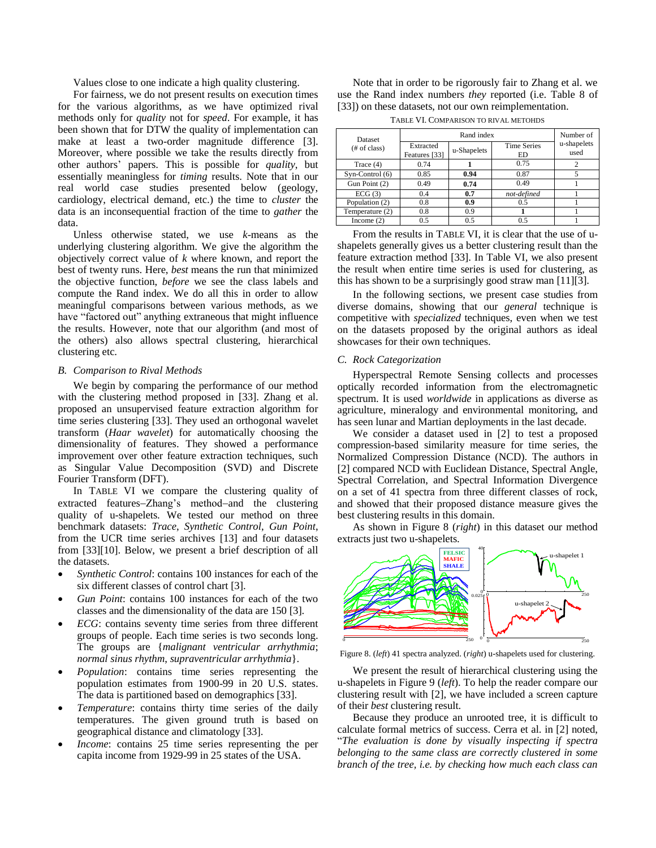Values close to one indicate a high quality clustering.

For fairness, we do not present results on execution times for the various algorithms, as we have optimized rival methods only for *quality* not for *speed*. For example, it has been shown that for DTW the quality of implementation can make at least a two-order magnitude difference [\[3\].](#page-9-5) Moreover, where possible we take the results directly from other authors' papers. This is possible for *quality*, but essentially meaningless for *timing* results. Note that in our real world case studies presented below (geology, cardiology, electrical demand, etc.) the time to *cluster* the data is an inconsequential fraction of the time to *gather* the data.

Unless otherwise stated, we use *k*-means as the underlying clustering algorithm. We give the algorithm the objectively correct value of *k* where known, and report the best of twenty runs. Here, *best* means the run that minimized the objective function, *before* we see the class labels and compute the Rand index. We do all this in order to allow meaningful comparisons between various methods, as we have "factored out" anything extraneous that might influence the results. However, note that our algorithm (and most of the others) also allows spectral clustering, hierarchical clustering etc.

## *B. Comparison to Rival Methods*

We begin by comparing the performance of our method with the clustering method proposed in [\[33\].](#page-9-2) Zhang et al. proposed an unsupervised feature extraction algorithm for time series clustering [\[33\].](#page-9-2) They used an orthogonal wavelet transform (*Haar wavelet*) for automatically choosing the dimensionality of features. They showed a performance improvement over other feature extraction techniques, such as Singular Value Decomposition (SVD) and Discrete Fourier Transform (DFT).

In T[ABLE](#page-6-0) VI we compare the clustering quality of extracted features-Zhang's method-and the clustering quality of u-shapelets. We tested our method on three benchmark datasets: *Trace*, *Synthetic Control*, *Gun Point*, from the UCR time series archives [\[13\]](#page-9-8) and four datasets from [\[33\]\[10\].](#page-9-2) Below, we present a brief description of all the datasets.

- *Synthetic Control*: contains 100 instances for each of the six different classes of control chart [\[3\].](#page-9-5)
- *Gun Point*: contains 100 instances for each of the two classes and the dimensionality of the data are 150 [\[3\].](#page-9-5)
- *ECG*: contains seventy time series from three different groups of people. Each time series is two seconds long. The groups are {*malignant ventricular arrhythmia*; *normal sinus rhythm*, *supraventricular arrhythmia*}.
- *Population*: contains time series representing the population estimates from 1900-99 in 20 U.S. states. The data is partitioned based on demographics [\[33\].](#page-9-2)
- *Temperature*: contains thirty time series of the daily temperatures. The given ground truth is based on geographical distance and climatolog[y \[33\].](#page-9-2)
- *Income*: contains 25 time series representing the per capita income from 1929-99 in 25 states of the USA.

Note that in order to be rigorously fair to Zhang et al. we use the Rand index numbers *they* reported (i.e. Table 8 of [\[33\]\)](#page-9-2) on these datasets, not our own reimplementation.

TABLE VI. COMPARISON TO RIVAL METOHDS

<span id="page-6-0"></span>

| <b>Dataset</b>  |                            | Number of   |                          |                     |  |
|-----------------|----------------------------|-------------|--------------------------|---------------------|--|
| $#$ of class)   | Extracted<br>Features [33] | u-Shapelets | <b>Time Series</b><br>ED | u-shapelets<br>used |  |
| Trace $(4)$     | 0.74                       |             | 0.75                     | 2                   |  |
| Syn-Control (6) | 0.85                       | 0.94        | 0.87                     |                     |  |
| Gun Point (2)   | 0.49                       | 0.74        | 0.49                     |                     |  |
| ECG(3)          | 0.4                        | 0.7         | not-defined              |                     |  |
| Population (2)  | 0.8                        | 0.9         | 0.5                      |                     |  |
| Temperature (2) | 0.8                        | 0.9         |                          |                     |  |
| Income $(2)$    | 0.5                        | 0.5         | 0.5                      |                     |  |

From the results in T[ABLE](#page-6-0) VI, it is clear that the use of ushapelets generally gives us a better clustering result than the feature extraction method [\[33\].](#page-9-2) In [Table VI,](#page-6-0) we also present the result when entire time series is used for clustering, as this has shown to be a surprisingly good straw man [\[11\]\[3\].](#page-9-4)

In the following sections, we present case studies from diverse domains, showing that our *general* technique is competitive with *specialized* techniques, even when we test on the datasets proposed by the original authors as ideal showcases for their own techniques.

## *C. Rock Categorization*

Hyperspectral Remote Sensing collects and processes optically recorded information from the electromagnetic spectrum. It is used *worldwide* in applications as diverse as agriculture, mineralogy and environmental monitoring, and has seen lunar and Martian deployments in the last decade.

We consider a dataset used in [\[2\]](#page-9-24) to test a proposed compression-based similarity measure for time series, the Normalized Compression Distance (NCD). The authors in [\[2\]](#page-9-24) compared NCD with Euclidean Distance, Spectral Angle, Spectral Correlation, and Spectral Information Divergence on a set of 41 spectra from three different classes of rock, and showed that their proposed distance measure gives the best clustering results in this domain.

As shown in [Figure 8](#page-6-1) (*right*) in this dataset our method extracts just two u-shapelets.



<span id="page-6-1"></span>Figure 8. (*left*) 41 spectra analyzed. (*right*) u-shapelets used for clustering.

We present the result of hierarchical clustering using the u-shapelets in [Figure 9](#page-7-0) (*left*). To help the reader compare our clustering result with [\[2\],](#page-9-24) we have included a screen capture of their *best* clustering result.

Because they produce an unrooted tree, it is difficult to calculate formal metrics of success. Cerra et al. in [\[2\]](#page-9-24) noted, "*The evaluation is done by visually inspecting if spectra belonging to the same class are correctly clustered in some branch of the tree, i.e. by checking how much each class can*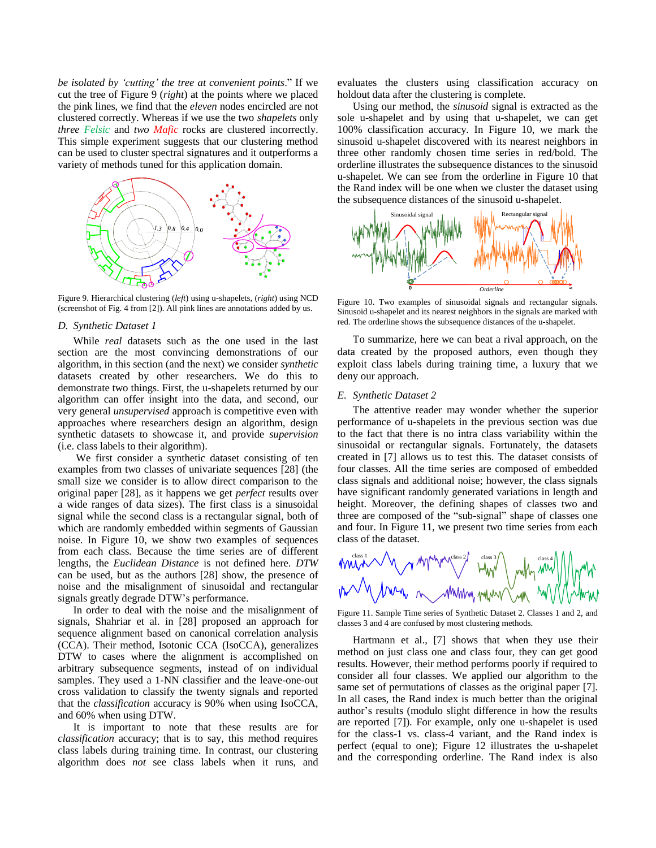*be isolated by 'cutting' the tree at convenient points*." If we cut the tree of [Figure 9](#page-7-0) (*right*) at the points where we placed the pink lines, we find that the *eleven* nodes encircled are not clustered correctly. Whereas if we use the two *shapelets* only *three Felsic* and *two Mafic* rocks are clustered incorrectly. This simple experiment suggests that our clustering method can be used to cluster spectral signatures and it outperforms a variety of methods tuned for this application domain.



<span id="page-7-0"></span>Figure 9. Hierarchical clustering (*left*) using u-shapelets, (*right*) using NCD (screenshot of Fig. 4 fro[m \[2\]\)](#page-9-24). All pink lines are annotations added by us.

## *D. Synthetic Dataset 1*

While *real* datasets such as the one used in the last section are the most convincing demonstrations of our algorithm, in this section (and the next) we consider *synthetic* datasets created by other researchers. We do this to demonstrate two things. First, the u-shapelets returned by our algorithm can offer insight into the data, and second, our very general *unsupervised* approach is competitive even with approaches where researchers design an algorithm, design synthetic datasets to showcase it, and provide *supervision* (i.e. class labels to their algorithm).

We first consider a synthetic dataset consisting of ten examples from two classes of univariate sequences [\[28\]](#page-9-25) (the small size we consider is to allow direct comparison to the original paper [\[28\],](#page-9-25) as it happens we get *perfect* results over a wide ranges of data sizes). The first class is a sinusoidal signal while the second class is a rectangular signal, both of which are randomly embedded within segments of Gaussian noise. In [Figure 10,](#page-7-1) we show two examples of sequences from each class. Because the time series are of different lengths, the *Euclidean Distance* is not defined here. *DTW* can be used, but as the authors [\[28\]](#page-9-25) show, the presence of noise and the misalignment of sinusoidal and rectangular signals greatly degrade DTW's performance.

In order to deal with the noise and the misalignment of signals, Shahriar et al. in [\[28\]](#page-9-25) proposed an approach for sequence alignment based on canonical correlation analysis (CCA). Their method, Isotonic CCA (IsoCCA), generalizes DTW to cases where the alignment is accomplished on arbitrary subsequence segments, instead of on individual samples. They used a 1-NN classifier and the leave-one-out cross validation to classify the twenty signals and reported that the *classification* accuracy is 90% when using IsoCCA, and 60% when using DTW.

It is important to note that these results are for *classification* accuracy; that is to say, this method requires class labels during training time. In contrast, our clustering algorithm does *not* see class labels when it runs, and evaluates the clusters using classification accuracy on holdout data after the clustering is complete.

Using our method, the *sinusoid* signal is extracted as the sole u-shapelet and by using that u-shapelet, we can get 100% classification accuracy. In [Figure 10,](#page-7-1) we mark the sinusoid u-shapelet discovered with its nearest neighbors in three other randomly chosen time series in red/bold. The orderline illustrates the subsequence distances to the sinusoid u-shapelet. We can see from the orderline in [Figure 10](#page-7-1) that the Rand index will be one when we cluster the dataset using the subsequence distances of the sinusoid u-shapelet.



<span id="page-7-1"></span>Figure 10. Two examples of sinusoidal signals and rectangular signals. Sinusoid u-shapelet and its nearest neighbors in the signals are marked with red. The orderline shows the subsequence distances of the u-shapelet.

To summarize, here we can beat a rival approach, on the data created by the proposed authors, even though they exploit class labels during training time, a luxury that we deny our approach.

## *E. Synthetic Dataset 2*

The attentive reader may wonder whether the superior performance of u-shapelets in the previous section was due to the fact that there is no intra class variability within the sinusoidal or rectangular signals. Fortunately, the datasets created in [\[7\]](#page-9-12) allows us to test this. The dataset consists of four classes. All the time series are composed of embedded class signals and additional noise; however, the class signals have significant randomly generated variations in length and height. Moreover, the defining shapes of classes two and three are composed of the "sub-signal" shape of classes one and four. In [Figure 11,](#page-7-2) we present two time series from each class of the dataset.

 $\bigcap_{k=1}^{\text{class }1}$   $\bigcap_{k=1}^{\infty}$   $\bigcap_{k=1}^{\infty}$   $\bigcap_{k=1}^{\infty}$   $\bigcap_{k=1}^{\infty}$   $\bigcap_{k=1}^{\infty}$   $\bigcap_{k=1}^{\infty}$   $\bigcap_{k=1}^{\infty}$   $\bigcap_{k=1}^{\infty}$   $\bigcap_{k=1}^{\infty}$   $\bigcap_{k=1}^{\infty}$   $\bigcap_{k=1}^{\infty}$   $\bigcap_{k=1}^{\infty}$   $\bigcap_{k=1}^$ 

<span id="page-7-2"></span>Figure 11. Sample Time series of Synthetic Dataset 2. Classes 1 and 2, and classes 3 and 4 are confused by most clustering methods.

Hartmann et al., [\[7\]](#page-9-12) shows that when they use their method on just class one and class four, they can get good results. However, their method performs poorly if required to consider all four classes. We applied our algorithm to the same set of permutations of classes as the original paper [\[7\].](#page-9-12) In all cases, the Rand index is much better than the original author's results (modulo slight difference in how the results are reported [\[7\]\)](#page-9-12). For example, only one u-shapelet is used for the class-1 vs. class-4 variant, and the Rand index is perfect (equal to one); [Figure 12](#page-8-0) illustrates the u-shapelet and the corresponding orderline. The Rand index is also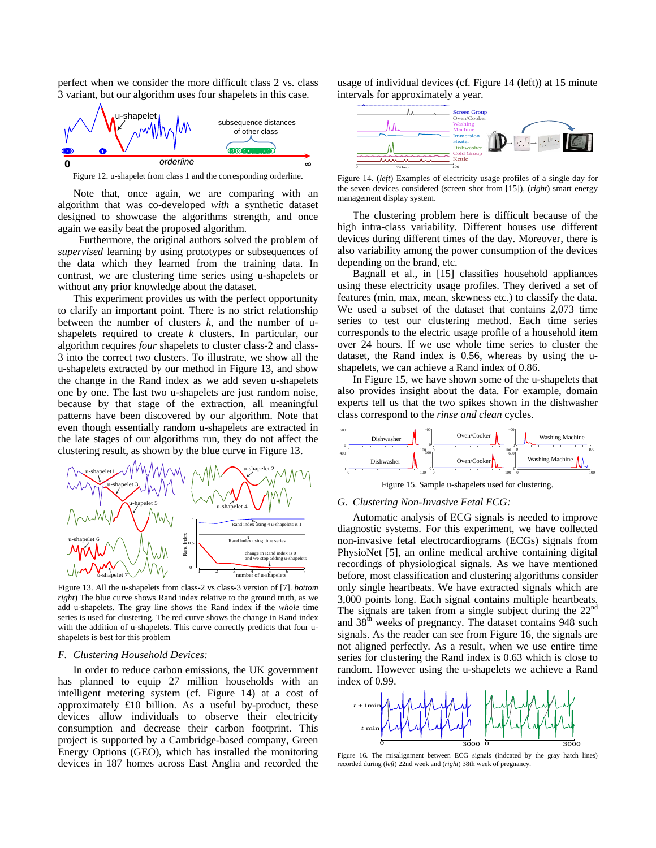perfect when we consider the more difficult class 2 vs. class 3 variant, but our algorithm uses four shapelets in this case.



Figure 12. u-shapelet from class 1 and the corresponding orderline.

<span id="page-8-0"></span>Note that, once again, we are comparing with an algorithm that was co-developed *with* a synthetic dataset designed to showcase the algorithms strength, and once again we easily beat the proposed algorithm.

Furthermore, the original authors solved the problem of *supervised* learning by using prototypes or subsequences of the data which they learned from the training data. In contrast, we are clustering time series using u-shapelets or without any prior knowledge about the dataset.

This experiment provides us with the perfect opportunity to clarify an important point. There is no strict relationship between the number of clusters *k*, and the number of ushapelets required to create *k* clusters. In particular, our algorithm requires *four* shapelets to cluster class-2 and class-3 into the correct *two* clusters. To illustrate, we show all the u-shapelets extracted by our method in [Figure 13,](#page-8-1) and show the change in the Rand index as we add seven u-shapelets one by one. The last two u-shapelets are just random noise, because by that stage of the extraction, all meaningful patterns have been discovered by our algorithm. Note that even though essentially random u-shapelets are extracted in the late stages of our algorithms run, they do not affect the clustering result, as shown by the blue curve in [Figure 13.](#page-8-1)



<span id="page-8-1"></span>Figure 13. All the u-shapelets from class-2 vs class-3 version o[f \[7\].](#page-9-12) *bottom right*) The blue curve shows Rand index relative to the ground truth, as we add u-shapelets. The gray line shows the Rand index if the *whole* time series is used for clustering. The red curve shows the change in Rand index with the addition of u-shapelets. This curve correctly predicts that four ushapelets is best for this problem

#### *F. Clustering Household Devices:*

In order to reduce carbon emissions, the UK government has planned to equip 27 million households with an intelligent metering system (cf. [Figure 14\)](#page-8-2) at a cost of approximately £10 billion. As a useful by-product, these devices allow individuals to observe their electricity consumption and decrease their carbon footprint. This project is supported by a Cambridge-based company, Green Energy Options (GEO), which has installed the monitoring devices in 187 homes across East Anglia and recorded the usage of individual devices (cf. [Figure 14](#page-8-2) (left)) at 15 minute intervals for approximately a year.



<span id="page-8-2"></span>Figure 14. (*left*) Examples of electricity usage profiles of a single day for the seven devices considered (screen shot from [\[15\]\)](#page-9-26), (*right*) smart energy management display system.

The clustering problem here is difficult because of the high intra-class variability. Different houses use different devices during different times of the day. Moreover, there is also variability among the power consumption of the devices depending on the brand, etc.

Bagnall et al., in [\[15\]](#page-9-26) classifies household appliances using these electricity usage profiles. They derived a set of features (min, max, mean, skewness etc.) to classify the data. We used a subset of the dataset that contains 2,073 time series to test our clustering method. Each time series corresponds to the electric usage profile of a household item over 24 hours. If we use whole time series to cluster the dataset, the Rand index is 0.56, whereas by using the ushapelets, we can achieve a Rand index of 0.86.

In [Figure 15,](#page-8-3) we have shown some of the u-shapelets that also provides insight about the data. For example, domain experts tell us that the two spikes shown in the dishwasher class correspond to the *rinse and clean* cycles.



Figure 15. Sample u-shapelets used for clustering.

#### <span id="page-8-3"></span>*G. Clustering Non-Invasive Fetal ECG:*

Automatic analysis of ECG signals is needed to improve diagnostic systems. For this experiment, we have collected non-invasive fetal electrocardiograms (ECGs) signals from PhysioNet [\[5\],](#page-9-27) an online medical archive containing digital recordings of physiological signals. As we have mentioned before, most classification and clustering algorithms consider only single heartbeats. We have extracted signals which are 3,000 points long. Each signal contains multiple heartbeats. The signals are taken from a single subject during the  $22<sup>nd</sup>$ and  $38<sup>th</sup>$  weeks of pregnancy. The dataset contains 948 such signals. As the reader can see from [Figure 16,](#page-8-4) the signals are not aligned perfectly. As a result, when we use entire time series for clustering the Rand index is 0.63 which is close to random. However using the u-shapelets we achieve a Rand index of 0.99.



<span id="page-8-4"></span>Figure 16. The misalignment between ECG signals (indcated by the gray hatch lines) recorded during (*left*) 22nd week and (*right*) 38th week of pregnancy.